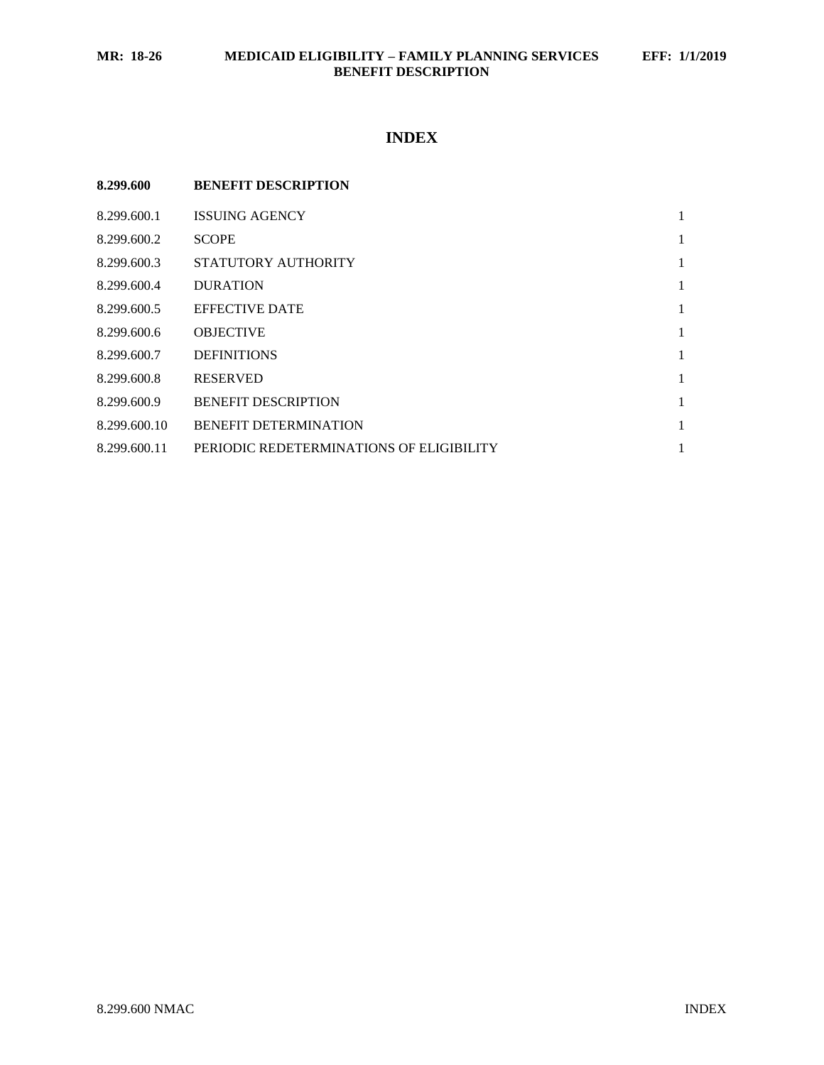# **INDEX**

| 8.299.600    | <b>BENEFIT DESCRIPTION</b>               |   |
|--------------|------------------------------------------|---|
| 8.299.600.1  | <b>ISSUING AGENCY</b>                    | 1 |
| 8.299.600.2  | <b>SCOPE</b>                             | 1 |
| 8.299.600.3  | STATUTORY AUTHORITY                      | 1 |
| 8.299.600.4  | <b>DURATION</b>                          | 1 |
| 8.299.600.5  | <b>EFFECTIVE DATE</b>                    | 1 |
| 8.299.600.6  | <b>OBJECTIVE</b>                         | 1 |
| 8.299.600.7  | <b>DEFINITIONS</b>                       | 1 |
| 8.299.600.8  | <b>RESERVED</b>                          | 1 |
| 8.299.600.9  | <b>BENEFIT DESCRIPTION</b>               | 1 |
| 8.299.600.10 | <b>BENEFIT DETERMINATION</b>             | 1 |
| 8.299.600.11 | PERIODIC REDETERMINATIONS OF ELIGIBILITY | 1 |